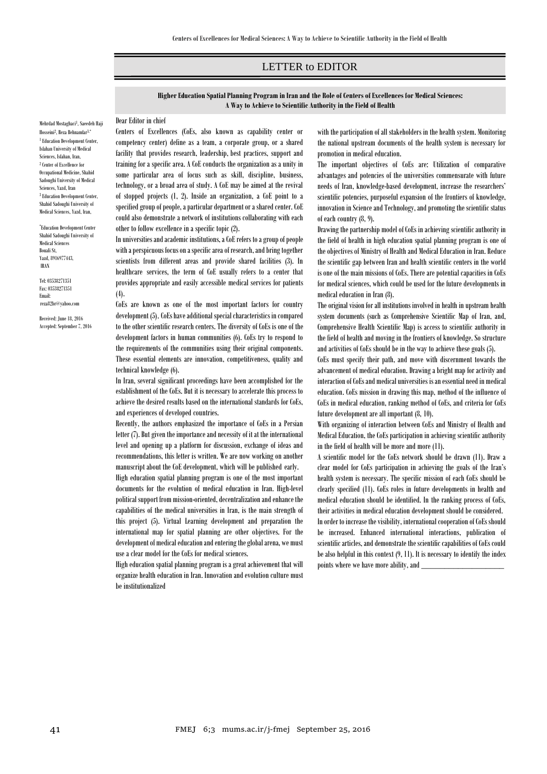## LETTER to EDITOR

**Higher Education Spatial Planning Program in Iran and the Role of Centers of Excellences for Medical Sciences: A Way to Achieve to Scientific Authority in the Field of Health**

## Dear Editor in chief

Mehrdad Mostaghaci<sup>1</sup>, Saeedeh Haji Hosseini<sup>2</sup>, Reza Behnamfar<sup>3,\*</sup> <sup>1</sup> Education Development Center, Isfahan University of Medical Sciences, Isfahan, Iran, 2 Center of Excellence for Occupational Medicine, Shahid Sadoughi University of Medical Sciences, Yazd, Iran <sup>3</sup> Education Development Center, Shahid Sadoughi University of Medical Sciences, Yazd, Iran,

\* Education Development Center Shahid Sadoughi University of Medical Sciences Bouali St, Yazd, 8916977443, IRAN

Tel: 03538271351 Fax: 03538271351 Email: reza82br@yahoo.com

Received: June 18, 2016 Accepted: September 7, 2016 Centers of Excellences (CoEs, also known as capability center or competency center) define as a team, a corporate group, or a shared facility that provides research, leadership, best practices, support and training for a specific area. A CoE conducts the organization as a unity in some particular area of focus such as skill, discipline, business, technology, or a broad area of study. A CoE may be aimed at the revival of stopped projects (1, 2). Inside an organization, a CoE point to a specified group of people, a particular department or a shared center. CoE could also demonstrate a network of institutions collaborating with each other to follow excellence in a specific topic (2).

In universities and academic institutions, a CoE refers to a group of people with a perspicuous focus on a specific area of research, and bring together scientists from different areas and provide shared facilities (3). In [healthcare](https://en.wikipedia.org/wiki/Healthcare) services, the term of CoE usually refers to a center that provides appropriate and easily accessible medical services for patients (4).

CoEs are known as one of the most important factors for country development (5). CoEs have additional special characteristics in compared to the other scientific research centers. The diversity of CoEs is one of the development factors in human communities (6). CoEs try to respond to the requirements of the communities using their original components. These essential elements are innovation, competitiveness, quality and technical knowledge (6).

In Iran, several significant proceedings have been accomplished for the establishment of the CoEs. But it is necessary to accelerate this process to achieve the desired results based on the international standards for CoEs, and experiences of developed countries.

Recently, the authors emphasized the importance of CoEs in a Persian letter (7). But given the importance and necessity of it at the international level and opening up a platform for discussion, exchange of ideas and recommendations, this letter is written. We are now working on another manuscript about the CoE development, which will be published early.

High education spatial planning program is one of the most important documents for the evolution of medical education in Iran. High-level political support from mission-oriented, decentralization and enhance the capabilities of the medical universities in Iran, is the main strength of this project (5). Virtual Learning development and preparation the international map for spatial planning are other objectives. For the development of medical education and entering the global arena, we must use a clear model for the CoEs for medical sciences.

High education spatial planning program is a great achievement that will organize health education in Iran. Innovation and evolution culture must be institutionalized

with the participation of all stakeholders in the health system. Monitoring the national upstream documents of the health system is necessary for promotion in medical education.

ص

The important objectives of CoEs are: Utilization of comparative advantages and potencies of the universities commensurate with future needs of Iran, knowledge-based development, increase the researchers' scientific potencies, purposeful expansion of the frontiers of knowledge, innovation in Science and Technology, and promoting the scientific status of each country (8, 9).

Drawing the partnership model of CoEs in achieving scientific authority in the field of health in high education spatial planning program is one of the objectives of Ministry of Health and Medical Education in Iran. Reduce the scientific gap between Iran and health scientific centers in the world is one of the main missions of CoEs. There are potential capacities in CoEs for medical sciences, which could be used for the future developments in medical education in Iran (8).

The original vision for all institutions involved in health in upstream health system documents (such as Comprehensive Scientific Map of Iran, and, Comprehensive Health Scientific Map) is access to scientific authority in the field of health and moving in the frontiers of knowledge. So structure and activities of CoEs should be in the way to achieve these goals (5).

CoEs must specify their path, and move with discernment towards the advancement of medical education. Drawing a bright map for activity and interaction of CoEs and medical universities is an essential need in medical education. CoEs mission in drawing this map, method of the influence of CoEs in medical education, ranking method of CoEs, and criteria for CoEs future development are all important (8, 10).

With organizing of interaction between CoEs and Ministry of Health and Medical Education, the CoEs participation in achieving scientific authority in the field of health will be more and more (11).

A scientific model for the CoEs network should be drawn (11). Draw a clear model for CoEs participation in achieving the goals of the Iran's health system is necessary. The specific mission of each CoEs should be clearly specified (11). CoEs roles in future developments in health and medical education should be identified. In the ranking process of CoEs, their activities in medical education development should be considered. In order to increase the visibility, international cooperation of CoEs should be increased. Enhanced international interactions, publication of scientific articles, and demonstrate the scientific capabilities of CoEs could be also helpful in this context (9, 11). It is necessary to identify the index

points where we have more ability, and